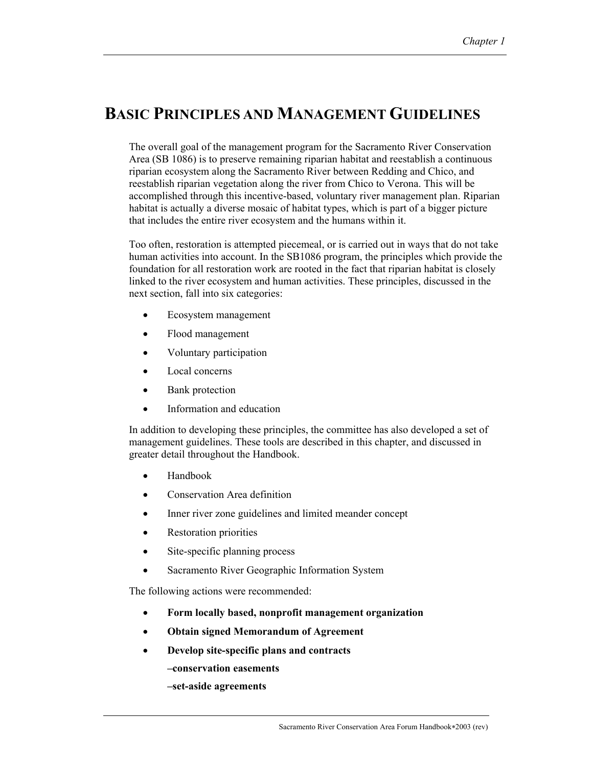## **BASIC PRINCIPLES AND MANAGEMENT GUIDELINES**

The overall goal of the management program for the Sacramento River Conservation Area (SB 1086) is to preserve remaining riparian habitat and reestablish a continuous riparian ecosystem along the Sacramento River between Redding and Chico, and reestablish riparian vegetation along the river from Chico to Verona. This will be accomplished through this incentive-based, voluntary river management plan. Riparian habitat is actually a diverse mosaic of habitat types, which is part of a bigger picture that includes the entire river ecosystem and the humans within it.

Too often, restoration is attempted piecemeal, or is carried out in ways that do not take human activities into account. In the SB1086 program, the principles which provide the foundation for all restoration work are rooted in the fact that riparian habitat is closely linked to the river ecosystem and human activities. These principles, discussed in the next section, fall into six categories:

- Ecosystem management
- Flood management
- Voluntary participation
- Local concerns
- Bank protection
- Information and education

In addition to developing these principles, the committee has also developed a set of management guidelines. These tools are described in this chapter, and discussed in greater detail throughout the Handbook.

- Handbook
- Conservation Area definition
- Inner river zone guidelines and limited meander concept
- Restoration priorities
- Site-specific planning process
- Sacramento River Geographic Information System

The following actions were recommended:

- **Form locally based, nonprofit management organization**
- **Obtain signed Memorandum of Agreement**
- **Develop site-specific plans and contracts** 
	- **–conservation easements**
	- **–set-aside agreements**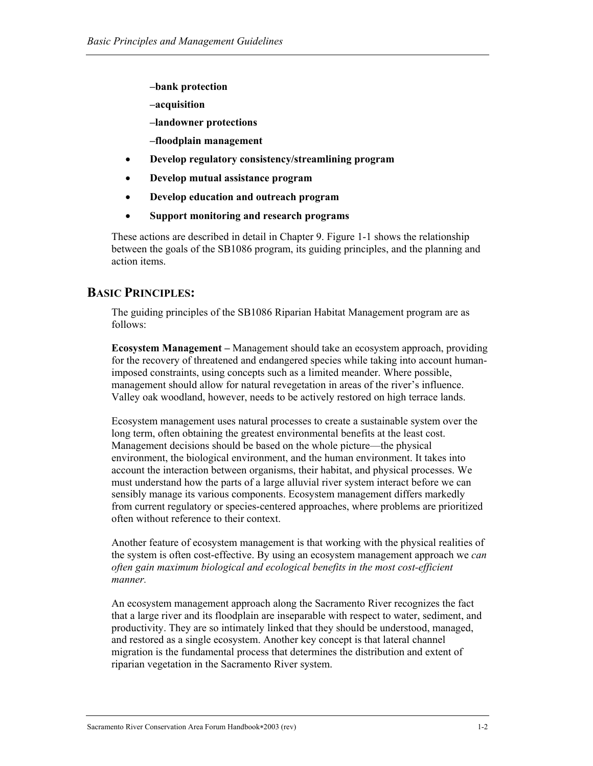- **–bank protection**
- **–acquisition**
- **–landowner protections**
- **–floodplain management**
- **Develop regulatory consistency/streamlining program**
- **Develop mutual assistance program**
- **Develop education and outreach program**
- **Support monitoring and research programs**

These actions are described in detail in Chapter 9. Figure 1-1 shows the relationship between the goals of the SB1086 program, its guiding principles, and the planning and action items.

## **BASIC PRINCIPLES:**

The guiding principles of the SB1086 Riparian Habitat Management program are as follows:

**Ecosystem Management –** Management should take an ecosystem approach, providing for the recovery of threatened and endangered species while taking into account humanimposed constraints, using concepts such as a limited meander. Where possible, management should allow for natural revegetation in areas of the river's influence. Valley oak woodland, however, needs to be actively restored on high terrace lands.

Ecosystem management uses natural processes to create a sustainable system over the long term, often obtaining the greatest environmental benefits at the least cost. Management decisions should be based on the whole picture—the physical environment, the biological environment, and the human environment. It takes into account the interaction between organisms, their habitat, and physical processes. We must understand how the parts of a large alluvial river system interact before we can sensibly manage its various components. Ecosystem management differs markedly from current regulatory or species-centered approaches, where problems are prioritized often without reference to their context.

Another feature of ecosystem management is that working with the physical realities of the system is often cost-effective. By using an ecosystem management approach we *can often gain maximum biological and ecological benefits in the most cost-efficient manner.* 

An ecosystem management approach along the Sacramento River recognizes the fact that a large river and its floodplain are inseparable with respect to water, sediment, and productivity. They are so intimately linked that they should be understood, managed, and restored as a single ecosystem. Another key concept is that lateral channel migration is the fundamental process that determines the distribution and extent of riparian vegetation in the Sacramento River system.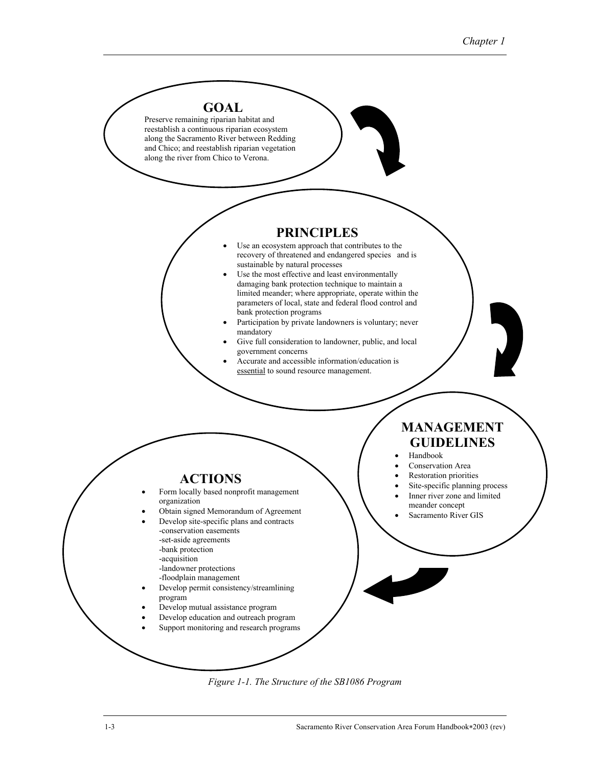

*Figure 1-1. The Structure of the SB1086 Program*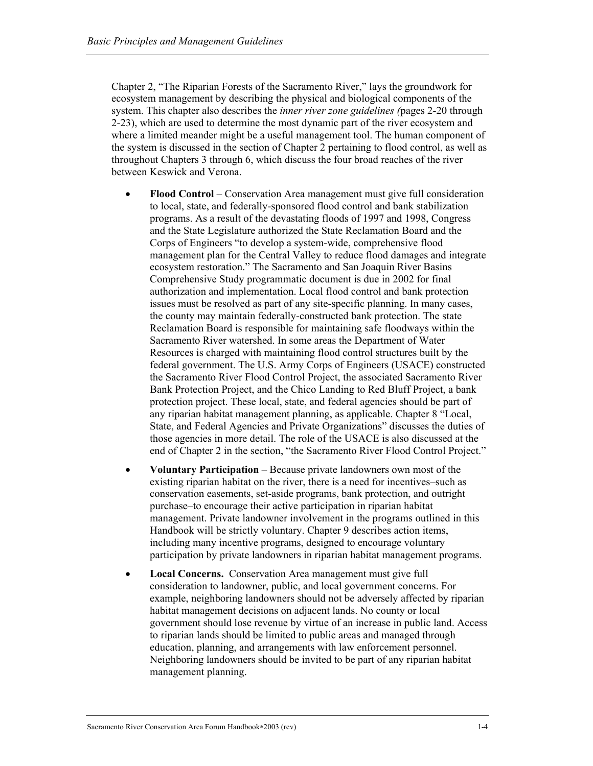Chapter 2, "The Riparian Forests of the Sacramento River," lays the groundwork for ecosystem management by describing the physical and biological components of the system. This chapter also describes the *inner river zone guidelines (*pages 2-20 through 2-23), which are used to determine the most dynamic part of the river ecosystem and where a limited meander might be a useful management tool. The human component of the system is discussed in the section of Chapter 2 pertaining to flood control, as well as throughout Chapters 3 through 6, which discuss the four broad reaches of the river between Keswick and Verona.

- **Flood Control** Conservation Area management must give full consideration to local, state, and federally-sponsored flood control and bank stabilization programs. As a result of the devastating floods of 1997 and 1998, Congress and the State Legislature authorized the State Reclamation Board and the Corps of Engineers "to develop a system-wide, comprehensive flood management plan for the Central Valley to reduce flood damages and integrate ecosystem restoration." The Sacramento and San Joaquin River Basins Comprehensive Study programmatic document is due in 2002 for final authorization and implementation. Local flood control and bank protection issues must be resolved as part of any site-specific planning. In many cases, the county may maintain federally-constructed bank protection. The state Reclamation Board is responsible for maintaining safe floodways within the Sacramento River watershed. In some areas the Department of Water Resources is charged with maintaining flood control structures built by the federal government. The U.S. Army Corps of Engineers (USACE) constructed the Sacramento River Flood Control Project, the associated Sacramento River Bank Protection Project, and the Chico Landing to Red Bluff Project, a bank protection project. These local, state, and federal agencies should be part of any riparian habitat management planning, as applicable. Chapter 8 "Local, State, and Federal Agencies and Private Organizations" discusses the duties of those agencies in more detail. The role of the USACE is also discussed at the end of Chapter 2 in the section, "the Sacramento River Flood Control Project."
- **Voluntary Participation** Because private landowners own most of the existing riparian habitat on the river, there is a need for incentives–such as conservation easements, set-aside programs, bank protection, and outright purchase–to encourage their active participation in riparian habitat management. Private landowner involvement in the programs outlined in this Handbook will be strictly voluntary. Chapter 9 describes action items, including many incentive programs, designed to encourage voluntary participation by private landowners in riparian habitat management programs.
- **Local Concerns.** Conservation Area management must give full consideration to landowner, public, and local government concerns. For example, neighboring landowners should not be adversely affected by riparian habitat management decisions on adjacent lands. No county or local government should lose revenue by virtue of an increase in public land. Access to riparian lands should be limited to public areas and managed through education, planning, and arrangements with law enforcement personnel. Neighboring landowners should be invited to be part of any riparian habitat management planning.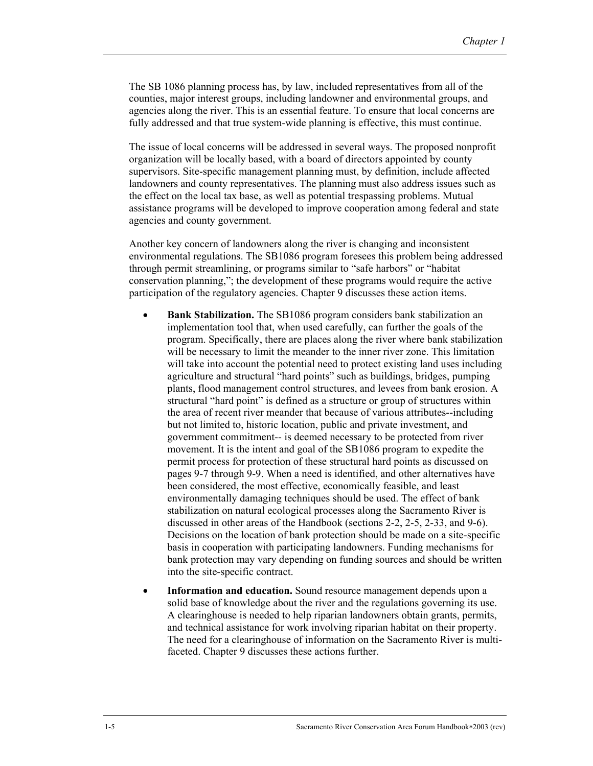The SB 1086 planning process has, by law, included representatives from all of the counties, major interest groups, including landowner and environmental groups, and agencies along the river. This is an essential feature. To ensure that local concerns are fully addressed and that true system-wide planning is effective, this must continue.

The issue of local concerns will be addressed in several ways. The proposed nonprofit organization will be locally based, with a board of directors appointed by county supervisors. Site-specific management planning must, by definition, include affected landowners and county representatives. The planning must also address issues such as the effect on the local tax base, as well as potential trespassing problems. Mutual assistance programs will be developed to improve cooperation among federal and state agencies and county government.

Another key concern of landowners along the river is changing and inconsistent environmental regulations. The SB1086 program foresees this problem being addressed through permit streamlining, or programs similar to "safe harbors" or "habitat conservation planning,"; the development of these programs would require the active participation of the regulatory agencies. Chapter 9 discusses these action items.

- **Bank Stabilization.** The SB1086 program considers bank stabilization an implementation tool that, when used carefully, can further the goals of the program. Specifically, there are places along the river where bank stabilization will be necessary to limit the meander to the inner river zone. This limitation will take into account the potential need to protect existing land uses including agriculture and structural "hard points" such as buildings, bridges, pumping plants, flood management control structures, and levees from bank erosion. A structural "hard point" is defined as a structure or group of structures within the area of recent river meander that because of various attributes--including but not limited to, historic location, public and private investment, and government commitment-- is deemed necessary to be protected from river movement. It is the intent and goal of the SB1086 program to expedite the permit process for protection of these structural hard points as discussed on pages 9-7 through 9-9. When a need is identified, and other alternatives have been considered, the most effective, economically feasible, and least environmentally damaging techniques should be used. The effect of bank stabilization on natural ecological processes along the Sacramento River is discussed in other areas of the Handbook (sections 2-2, 2-5, 2-33, and 9-6). Decisions on the location of bank protection should be made on a site-specific basis in cooperation with participating landowners. Funding mechanisms for bank protection may vary depending on funding sources and should be written into the site-specific contract.
- **Information and education.** Sound resource management depends upon a solid base of knowledge about the river and the regulations governing its use. A clearinghouse is needed to help riparian landowners obtain grants, permits, and technical assistance for work involving riparian habitat on their property. The need for a clearinghouse of information on the Sacramento River is multifaceted. Chapter 9 discusses these actions further.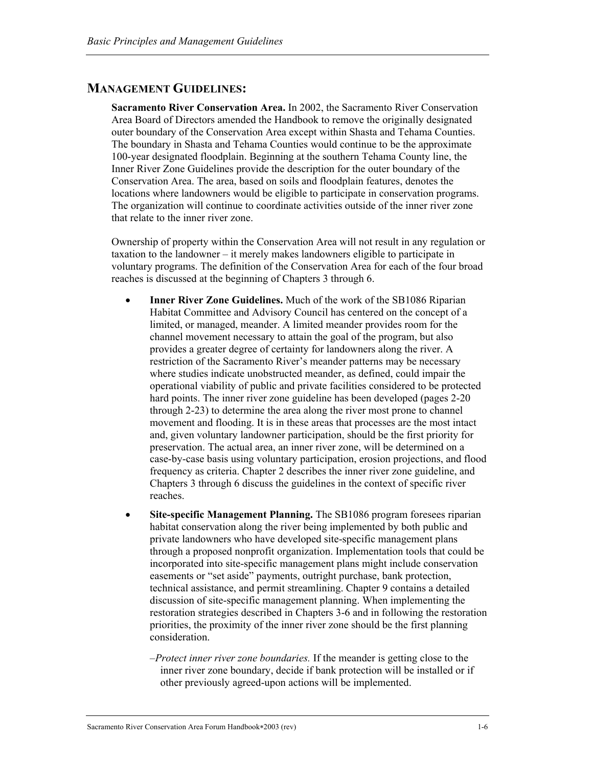## **MANAGEMENT GUIDELINES:**

**Sacramento River Conservation Area.** In 2002, the Sacramento River Conservation Area Board of Directors amended the Handbook to remove the originally designated outer boundary of the Conservation Area except within Shasta and Tehama Counties. The boundary in Shasta and Tehama Counties would continue to be the approximate 100-year designated floodplain. Beginning at the southern Tehama County line, the Inner River Zone Guidelines provide the description for the outer boundary of the Conservation Area. The area, based on soils and floodplain features, denotes the locations where landowners would be eligible to participate in conservation programs. The organization will continue to coordinate activities outside of the inner river zone that relate to the inner river zone.

Ownership of property within the Conservation Area will not result in any regulation or taxation to the landowner – it merely makes landowners eligible to participate in voluntary programs. The definition of the Conservation Area for each of the four broad reaches is discussed at the beginning of Chapters 3 through 6.

- **Inner River Zone Guidelines.** Much of the work of the SB1086 Riparian Habitat Committee and Advisory Council has centered on the concept of a limited, or managed, meander. A limited meander provides room for the channel movement necessary to attain the goal of the program, but also provides a greater degree of certainty for landowners along the river. A restriction of the Sacramento River's meander patterns may be necessary where studies indicate unobstructed meander, as defined, could impair the operational viability of public and private facilities considered to be protected hard points. The inner river zone guideline has been developed (pages 2-20 through 2-23) to determine the area along the river most prone to channel movement and flooding. It is in these areas that processes are the most intact and, given voluntary landowner participation, should be the first priority for preservation. The actual area, an inner river zone, will be determined on a case-by-case basis using voluntary participation, erosion projections, and flood frequency as criteria. Chapter 2 describes the inner river zone guideline, and Chapters 3 through 6 discuss the guidelines in the context of specific river reaches.
- Site-specific Management Planning. The SB1086 program foresees riparian habitat conservation along the river being implemented by both public and private landowners who have developed site-specific management plans through a proposed nonprofit organization. Implementation tools that could be incorporated into site-specific management plans might include conservation easements or "set aside" payments, outright purchase, bank protection, technical assistance, and permit streamlining. Chapter 9 contains a detailed discussion of site-specific management planning. When implementing the restoration strategies described in Chapters 3-6 and in following the restoration priorities, the proximity of the inner river zone should be the first planning consideration.
	- –*Protect inner river zone boundaries.* If the meander is getting close to the inner river zone boundary, decide if bank protection will be installed or if other previously agreed-upon actions will be implemented.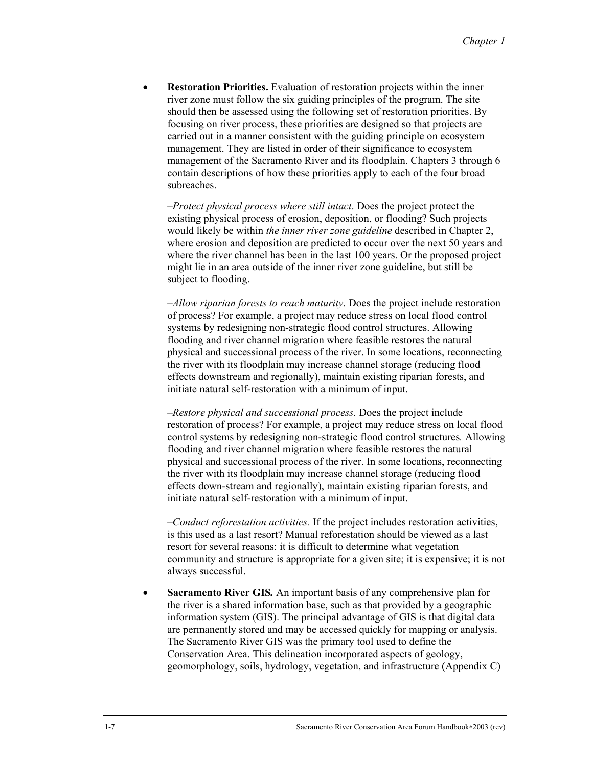• **Restoration Priorities.** Evaluation of restoration projects within the inner river zone must follow the six guiding principles of the program. The site should then be assessed using the following set of restoration priorities. By focusing on river process, these priorities are designed so that projects are carried out in a manner consistent with the guiding principle on ecosystem management. They are listed in order of their significance to ecosystem management of the Sacramento River and its floodplain. Chapters 3 through 6 contain descriptions of how these priorities apply to each of the four broad subreaches.

–*Protect physical process where still intact*. Does the project protect the existing physical process of erosion, deposition, or flooding? Such projects would likely be within *the inner river zone guideline* described in Chapter 2, where erosion and deposition are predicted to occur over the next 50 years and where the river channel has been in the last 100 years. Or the proposed project might lie in an area outside of the inner river zone guideline, but still be subject to flooding.

–*Allow riparian forests to reach maturity*. Does the project include restoration of process? For example, a project may reduce stress on local flood control systems by redesigning non-strategic flood control structures. Allowing flooding and river channel migration where feasible restores the natural physical and successional process of the river. In some locations, reconnecting the river with its floodplain may increase channel storage (reducing flood effects downstream and regionally), maintain existing riparian forests, and initiate natural self-restoration with a minimum of input.

*–Restore physical and successional process.* Does the project include restoration of process? For example, a project may reduce stress on local flood control systems by redesigning non-strategic flood control structures*.* Allowing flooding and river channel migration where feasible restores the natural physical and successional process of the river. In some locations, reconnecting the river with its floodplain may increase channel storage (reducing flood effects down-stream and regionally), maintain existing riparian forests, and initiate natural self-restoration with a minimum of input.

*–Conduct reforestation activities.* If the project includes restoration activities, is this used as a last resort? Manual reforestation should be viewed as a last resort for several reasons: it is difficult to determine what vegetation community and structure is appropriate for a given site; it is expensive; it is not always successful.

**Sacramento River GIS.** An important basis of any comprehensive plan for the river is a shared information base, such as that provided by a geographic information system (GIS). The principal advantage of GIS is that digital data are permanently stored and may be accessed quickly for mapping or analysis. The Sacramento River GIS was the primary tool used to define the Conservation Area. This delineation incorporated aspects of geology, geomorphology, soils, hydrology, vegetation, and infrastructure (Appendix C)